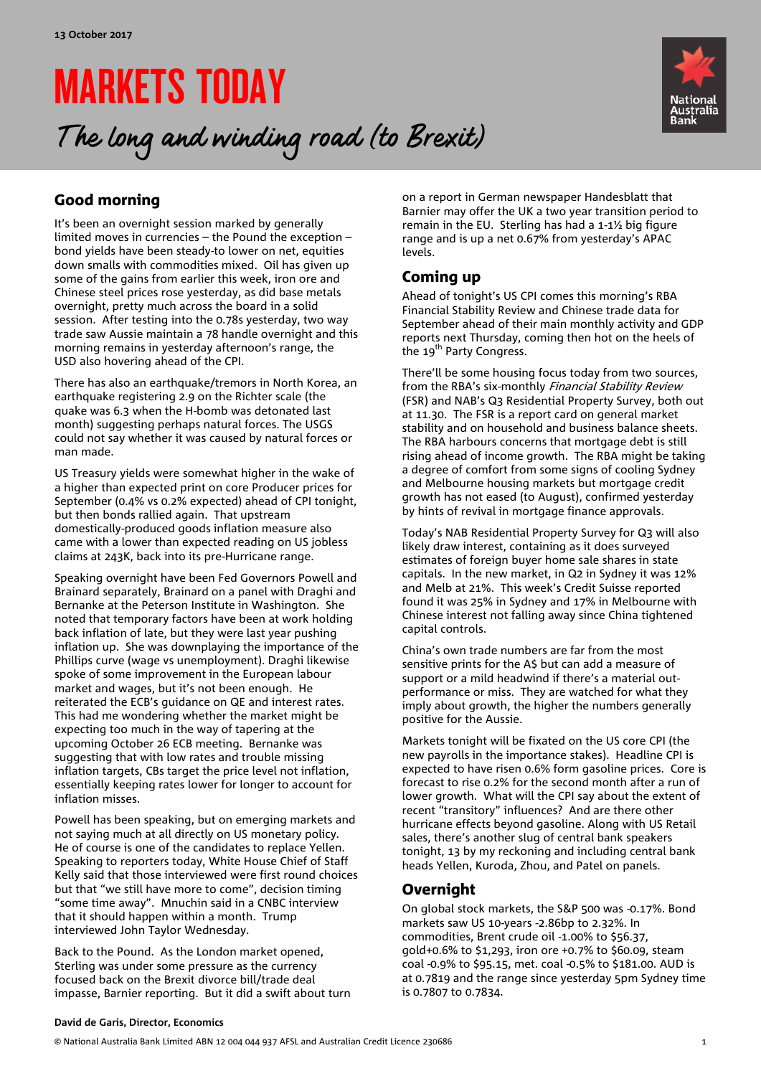# MARKETS TODAY

## The long and winding road (to Brexit)



### Good morning

It's been an overnight session marked by generally limited moves in currencies – the Pound the exception – bond yields have been steady-to lower on net, equities down smalls with commodities mixed. Oil has given up some of the gains from earlier this week, iron ore and Chinese steel prices rose yesterday, as did base metals overnight, pretty much across the board in a solid session. After testing into the 0.78s yesterday, two way trade saw Aussie maintain a 78 handle overnight and this morning remains in yesterday afternoon's range, the USD also hovering ahead of the CPI.

There has also an earthquake/tremors in North Korea, an earthquake registering 2.9 on the Richter scale (the quake was 6.3 when the H-bomb was detonated last month) suggesting perhaps natural forces. The USGS could not say whether it was caused by natural forces or man made.

US Treasury yields were somewhat higher in the wake of a higher than expected print on core Producer prices for September (0.4% vs 0.2% expected) ahead of CPI tonight, but then bonds rallied again. That upstream domestically-produced goods inflation measure also came with a lower than expected reading on US jobless claims at 243K, back into its pre-Hurricane range.

Speaking overnight have been Fed Governors Powell and Brainard separately, Brainard on a panel with Draghi and Bernanke at the Peterson Institute in Washington. She noted that temporary factors have been at work holding back inflation of late, but they were last year pushing inflation up. She was downplaying the importance of the Phillips curve (wage vs unemployment). Draghi likewise spoke of some improvement in the European labour market and wages, but it's not been enough. He reiterated the ECB's guidance on QE and interest rates. This had me wondering whether the market might be expecting too much in the way of tapering at the upcoming October 26 ECB meeting. Bernanke was suggesting that with low rates and trouble missing inflation targets, CBs target the price level not inflation, essentially keeping rates lower for longer to account for inflation misses.

Powell has been speaking, but on emerging markets and not saying much at all directly on US monetary policy. He of course is one of the candidates to replace Yellen. Speaking to reporters today, White House Chief of Staff Kelly said that those interviewed were first round choices but that "we still have more to come", decision timing "some time away". Mnuchin said in a CNBC interview that it should happen within a month. Trump interviewed John Taylor Wednesday.

Back to the Pound. As the London market opened, Sterling was under some pressure as the currency focused back on the Brexit divorce bill/trade deal impasse, Barnier reporting. But it did a swift about turn on a report in German newspaper Handesblatt that Barnier may offer the UK a two year transition period to remain in the EU. Sterling has had a 1-1½ big figure range and is up a net 0.67% from yesterday's APAC levels.

### Coming up

Ahead of tonight's US CPI comes this morning's RBA Financial Stability Review and Chinese trade data for September ahead of their main monthly activity and GDP reports next Thursday, coming then hot on the heels of the 19<sup>th</sup> Party Congress.

There'll be some housing focus today from two sources, from the RBA's six-monthly Financial Stability Review (FSR) and NAB's Q3 Residential Property Survey, both out at 11.30. The FSR is a report card on general market stability and on household and business balance sheets. The RBA harbours concerns that mortgage debt is still rising ahead of income growth. The RBA might be taking a degree of comfort from some signs of cooling Sydney and Melbourne housing markets but mortgage credit growth has not eased (to August), confirmed yesterday by hints of revival in mortgage finance approvals.

Today's NAB Residential Property Survey for Q3 will also likely draw interest, containing as it does surveyed estimates of foreign buyer home sale shares in state capitals. In the new market, in Q2 in Sydney it was 12% and Melb at 21%. This week's Credit Suisse reported found it was 25% in Sydney and 17% in Melbourne with Chinese interest not falling away since China tightened capital controls.

China's own trade numbers are far from the most sensitive prints for the A\$ but can add a measure of support or a mild headwind if there's a material outperformance or miss. They are watched for what they imply about growth, the higher the numbers generally positive for the Aussie.

Markets tonight will be fixated on the US core CPI (the new payrolls in the importance stakes). Headline CPI is expected to have risen 0.6% form gasoline prices. Core is forecast to rise 0.2% for the second month after a run of lower growth. What will the CPI say about the extent of recent "transitory" influences? And are there other hurricane effects beyond gasoline. Along with US Retail sales, there's another slug of central bank speakers tonight, 13 by my reckoning and including central bank heads Yellen, Kuroda, Zhou, and Patel on panels.

### Overnight

On global stock markets, the S&P 500 was -0.17%. Bond markets saw US 10-years -2.86bp to 2.32%. In commodities, Brent crude oil -1.00% to \$56.37, gold+0.6% to \$1,293, iron ore +0.7% to \$60.09, steam coal -0.9% to \$95.15, met. coal -0.5% to \$181.00. AUD is at 0.7819 and the range since yesterday 5pm Sydney time is 0.7807 to 0.7834.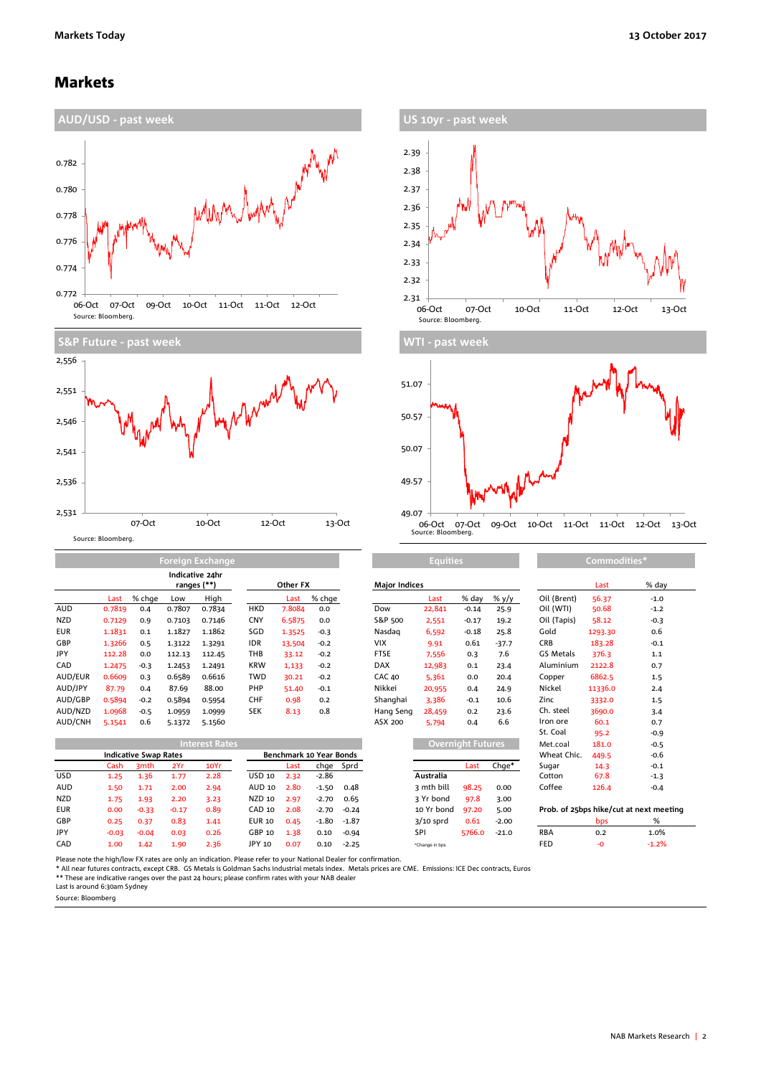### Markets







|            |        | Indicative 24hr<br>ranges (**) |        |        |            | Other FX |        | <b>Major Indices</b> |        |         |         | Last             | % da    |        |
|------------|--------|--------------------------------|--------|--------|------------|----------|--------|----------------------|--------|---------|---------|------------------|---------|--------|
|            | Last   | % chae                         | Low    | High   |            | Last     | % chge |                      | Last   | % day   | % y/y   | Oil (Brent)      | 56.37   | $-1.0$ |
| <b>AUD</b> | 0.7819 | 0.4                            | 0.7807 | 0.7834 | <b>HKD</b> | 7.8084   | 0.0    | Dow                  | 22,841 | $-0.14$ | 25.9    | Oil (WTI)        | 50.68   | $-1.2$ |
| <b>NZD</b> | 0.7129 | 0.9                            | 0.7103 | 0.7146 | <b>CNY</b> | 6.5875   | 0.0    | S&P 500              | 2,551  | $-0.17$ | 19.2    | Oil (Tapis)      | 58.12   | $-0.3$ |
| <b>EUR</b> | 1.1831 | 0.1                            | 1.1827 | 1.1862 | SGD        | 1.3525   | $-0.3$ | Nasdag               | 6,592  | $-0.18$ | 25.8    | Gold             | 1293.30 | 0.6    |
| GBP        | 1.3266 | 0.5                            | 1.3122 | 1.3291 | <b>IDR</b> | 13,504   | $-0.2$ | <b>VIX</b>           | 9.91   | 0.61    | $-37.7$ | <b>CRB</b>       | 183.28  | $-0.1$ |
| JPY        | 112.28 | 0.0                            | 112.13 | 112.45 | THB        | 33.12    | $-0.2$ | <b>FTSE</b>          | 7,556  | 0.3     | 7.6     | <b>GS Metals</b> | 376.3   | 1.1    |
| CAD        | 1.2475 | $-0.3$                         | 1.2453 | 1.2491 | <b>KRW</b> | 1,133    | $-0.2$ | <b>DAX</b>           | 12,983 | 0.1     | 23.4    | Aluminium        | 2122.8  | 0.7    |
| AUD/EUR    | 0.6609 | 0.3                            | 0.6589 | 0.6616 | <b>TWD</b> | 30.21    | $-0.2$ | <b>CAC 40</b>        | 5,361  | 0.0     | 20.4    | Copper           | 6862.5  | 1.5    |
| AUD/JPY    | 87.79  | 0.4                            | 87.69  | 88.00  | PHP        | 51.40    | $-0.1$ | Nikkei               | 20,955 | 0.4     | 24.9    | Nickel           | 11336.0 | 2.4    |
| AUD/GBP    | 0.5894 | $-0.2$                         | 0.5894 | 0.5954 | <b>CHF</b> | 0.98     | 0.2    | Shanghai             | 3.386  | $-0.1$  | 10.6    | Zinc             | 3332.0  | 1.5    |
| AUD/NZD    | 1.0968 | $-0.5$                         | 1.0959 | 1.0999 | <b>SEK</b> | 8.13     | 0.8    | Hang Seng            | 28,459 | 0.2     | 23.6    | Ch. steel        | 3690.0  | 3.4    |
| AUD/CNH    | 5.1541 | 0.6                            | 5.1372 | 5.1560 |            |          |        | ASX 200              | 5,794  | 0.4     | 6.6     | Iron ore         | 60.1    | 0.7    |

**Formal** 

|            | <b>Interest Rates</b>        |                  |         |                         |               |      |         |           |                | <b>Overnight Futures</b> |                      |            | 181.0 | $-0.5$                                  |
|------------|------------------------------|------------------|---------|-------------------------|---------------|------|---------|-----------|----------------|--------------------------|----------------------|------------|-------|-----------------------------------------|
|            | <b>Indicative Swap Rates</b> |                  |         | Benchmark 10 Year Bonds |               |      |         |           |                |                          | Wheat Chic.<br>449.5 | $-0.6$     |       |                                         |
|            | Cash                         | 3 <sub>mth</sub> | 2Yr     | 10Yr                    |               | Last |         | chge Sprd |                | Last                     | Chae*                | Sugar      | 14.3  | $-0.1$                                  |
| <b>USD</b> | 1.25                         | 1.36             | 1.77    | 2.28                    | USD 10        | 2.32 | $-2.86$ |           | Australia      |                          |                      | Cotton     | 67.8  | $-1.3$                                  |
| <b>AUD</b> | 1.50                         | 1.71             | 2.00    | 2.94                    | AUD 10        | 2.80 | $-1.50$ | 0.48      | 3 mth bill     | 98.25                    | 0.00                 | Coffee     | 126.4 | $-0.4$                                  |
| <b>NZD</b> | 1.75                         | 1.93             | 2.20    | 3.23                    | NZD 10        | 2.97 | $-2.70$ | 0.65      | 3 Yr bond      | 97.8                     | 3.00                 |            |       |                                         |
| <b>EUR</b> | 0.00                         | $-0.33$          | $-0.17$ | 0.89                    | CAD 10        | 2.08 | $-2.70$ | $-0.24$   | 10 Yr bond     | 97.20                    | 5.00                 |            |       | Prob. of 25bps hike/cut at next meeting |
| GBP        | 0.25                         | 0.37             | 0.83    | 1.41                    | <b>EUR 10</b> | 0.45 | $-1.80$ | -1.87     | $3/10$ sprd    | 0.61                     | $-2.00$              |            | bps   | %                                       |
| <b>JPY</b> | $-0.03$                      | $-0.04$          | 0.03    | 0.26                    | GBP 10        | 1.38 | 0.10    | $-0.94$   | SPI            | 5766.0                   | $-21.0$              | <b>RBA</b> | 0.2   | 1.0%                                    |
| CAD        | 1.00                         | 1.42             | 1.90    | 2.36                    | JPY 10        | 0.07 | 0.10    | $-2.25$   | *Change in bos |                          |                      | FED        |       | $-1.2%$                                 |

| Other FX |                      |         | <b>Major Indices</b> |             |                          |         |                                     | Last    | % day  |
|----------|----------------------|---------|----------------------|-------------|--------------------------|---------|-------------------------------------|---------|--------|
| Last     | % chge               |         |                      | Last        | % day                    | % $y/y$ | Oil (Brent)                         | 56.37   | $-1.0$ |
| 7.8084   | 0.0                  |         | Dow                  | 22,841      | $-0.14$                  | 25.9    | Oil (WTI)                           | 50.68   | $-1.2$ |
| 6.5875   | 0.0                  |         | S&P 500              | 2,551       | $-0.17$                  | 19.2    | Oil (Tapis)                         | 58.12   | $-0.3$ |
| 1.3525   | $-0.3$               |         | Nasdag               | 6,592       | $-0.18$                  | 25.8    | Gold                                | 1293.30 | 0.6    |
| 13,504   | $-0.2$               |         | VIX                  | 9.91        | 0.61                     | $-37.7$ | <b>CRB</b>                          | 183.28  | $-0.1$ |
| 33.12    | $-0.2$               |         | <b>FTSE</b>          | 7,556       | 0.3                      | 7.6     | GS Metals                           | 376.3   | 1.1    |
| 1,133    | $-0.2$               |         | <b>DAX</b>           | 12,983      | 0.1                      | 23.4    | Aluminium                           | 2122.8  | 0.7    |
| 30.21    | $-0.2$               |         | <b>CAC 40</b>        | 5,361       | 0.0                      | 20.4    | Copper                              | 6862.5  | 1.5    |
| 51.40    | $-0.1$               |         | Nikkei               | 20,955      | 0.4                      | 24.9    | Nickel                              | 11336.0 | 2.4    |
| 0.98     | 0.2                  |         | Shanghai             | 3,386       | $-0.1$                   | 10.6    | Zinc                                | 3332.0  | 1.5    |
| 8.13     | 0.8                  |         | Hang Seng            | 28,459      | 0.2                      | 23.6    | Ch. steel                           | 3690.0  | 3.4    |
|          |                      |         | ASX 200              | 5,794       | 0.4                      | 6.6     | Iron ore                            | 60.1    | 0.7    |
|          |                      |         |                      |             |                          |         | St. Coal                            | 95.2    | $-0.9$ |
|          |                      |         |                      |             | <b>Overnight Futures</b> |         | Met.coal                            | 181.0   | $-0.5$ |
|          | chmark 10 Year Bonds |         |                      |             |                          |         | Wheat Chic.                         | 449.5   | -0.6   |
| Last     | chge                 | Sprd    |                      |             | Last                     | $Chge*$ | Sugar                               | 14.3    | $-0.1$ |
| 2.32     | $-2.86$              |         |                      | Australia   |                          |         | Cotton                              | 67.8    | $-1.3$ |
| 2.80     | $-1.50$              | 0.48    |                      | 3 mth bill  | 98.25                    | 0.00    | Coffee                              | 126.4   | $-0.4$ |
| 2.97     | $-2.70$              | 0.65    |                      | 3 Yr bond   | 97.8                     | 3.00    |                                     |         |        |
| 2.08     | $-2.70$              | $-0.24$ |                      | 10 Yr bond  | 97.20                    | 5.00    | Prob. of 25bps hike/cut at next mer |         |        |
| 0.45     | $-1.80$              | $-1.87$ |                      | $3/10$ sprd | 0.61                     | $-2.00$ |                                     | bps     | %      |
| 1.38     | 0.10                 | $-0.94$ |                      | SPI         | 5766.0                   | $-21.0$ | RBA                                 | 0.2     | 1.0%   |
|          |                      |         |                      |             |                          |         |                                     |         |        |

| <b>Equities</b> |                          |         | Commodities*                            |         |  |        |  |  |  |
|-----------------|--------------------------|---------|-----------------------------------------|---------|--|--------|--|--|--|
|                 |                          |         |                                         | Last    |  | % day  |  |  |  |
| Last            | % day                    | % y/y   | Oil (Brent)                             | 56.37   |  | $-1.0$ |  |  |  |
| 2,841           | $-0.14$                  | 25.9    | Oil (WTI)                               | 50.68   |  | $-1.2$ |  |  |  |
| 2,551           | $-0.17$                  | 19.2    | Oil (Tapis)                             | 58.12   |  | $-0.3$ |  |  |  |
| 6,592           | $-0.18$                  | 25.8    | Gold                                    | 1293.30 |  | 0.6    |  |  |  |
| 9.91            | 0.61                     | $-37.7$ | <b>CRB</b>                              | 183.28  |  | $-0.1$ |  |  |  |
| 7.556           | 0.3                      | 7.6     | <b>GS Metals</b>                        | 376.3   |  | 1.1    |  |  |  |
| 12,983          | 0.1                      | 23.4    | Aluminium                               | 2122.8  |  | 0.7    |  |  |  |
| 5,361           | 0.0                      | 20.4    | Copper                                  | 6862.5  |  | 1.5    |  |  |  |
| 0.955           | 0.4                      | 24.9    | Nickel                                  | 11336.0 |  | 2.4    |  |  |  |
| 3.386           | $-0.1$                   | 10.6    | Zinc                                    | 3332.0  |  | 1.5    |  |  |  |
| 8,459           | 0.2                      | 23.6    | Ch. steel                               | 3690.0  |  | 3.4    |  |  |  |
| 5,794           | 0.4                      | 6.6     | Iron ore                                | 60.1    |  | 0.7    |  |  |  |
|                 |                          |         | St. Coal                                | 95.2    |  | $-0.9$ |  |  |  |
|                 | <b>Overnight Futures</b> |         | Met.coal                                | 181.0   |  | $-0.5$ |  |  |  |
|                 |                          |         | Wheat Chic.                             | 449.5   |  | $-0.6$ |  |  |  |
|                 | Last                     | Chge*   | Sugar                                   | 14.3    |  | $-0.1$ |  |  |  |
| stralia         |                          |         | Cotton                                  | 67.8    |  | $-1.3$ |  |  |  |
| ıth bill        | 98.25                    | 0.00    | Coffee                                  | 126.4   |  | $-0.4$ |  |  |  |
| r bond          | 97.8                     | 3.00    |                                         |         |  |        |  |  |  |
| Yr bond         | 97.20                    | 5.00    | Prob. of 25bps hike/cut at next meeting |         |  |        |  |  |  |
| 0 sprd          | 0.61                     | $-2.00$ |                                         | bps     |  | %      |  |  |  |
|                 | 5766.0                   | $-21.0$ | <b>RBA</b>                              | 0.2     |  | 1.0%   |  |  |  |

Please note the high/low FX rates are only an indication. Please refer to your National Dealer for confirmation.<br>\* All near futures contracts, except CRB. GS Metals is Goldman Sachs industrial metals index. Metals prices

Source: Bloomberg.

Source: Bloomberg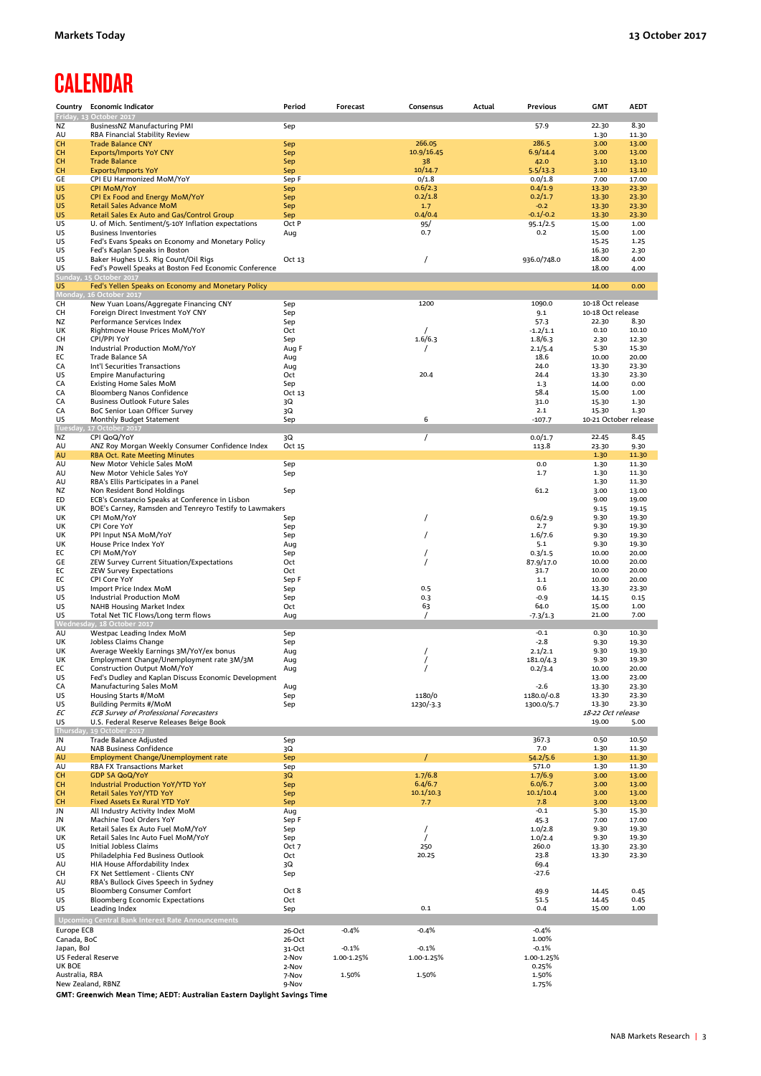### **CALENDAR**

|                                  | Country Economic Indicator                                                                    | Period          | Forecast   | Consensus            | Actual | Previous              | <b>GMT</b>            | <b>AEDT</b>    |
|----------------------------------|-----------------------------------------------------------------------------------------------|-----------------|------------|----------------------|--------|-----------------------|-----------------------|----------------|
|                                  | Friday, 13 October 2017                                                                       |                 |            |                      |        |                       |                       |                |
| ΝZ                               | BusinessNZ Manufacturing PMI                                                                  | Sep             |            |                      |        | 57.9                  | 22.30                 | 8.30           |
| AU                               | RBA Financial Stability Review                                                                |                 |            |                      |        |                       | 1.30                  | 11.30          |
| <b>CH</b>                        | <b>Trade Balance CNY</b>                                                                      | Sep             |            | 266.05               |        | 286.5                 | 3.00                  | 13.00          |
| CH                               | <b>Exports/Imports YoY CNY</b>                                                                | Sep             |            | 10.9/16.45           |        | 6.9/14.4              | 3.00                  | 13.00          |
| CH                               | <b>Trade Balance</b>                                                                          | Sep             |            | 38                   |        | 42.0                  | 3.10                  | 13.10          |
| CН                               | <b>Exports/Imports YoY</b>                                                                    | Sep             |            | 10/14.7              |        | 5.5/13.3              | 3.10                  | 13.10          |
| GE                               | CPI EU Harmonized MoM/YoY                                                                     | Sep F           |            | 0/1.8                |        | 0.0/1.8               | 7.00                  | 17.00          |
| US                               | <b>CPI MoM/YoY</b>                                                                            | Sep             |            | 0.6/2.3              |        | 0.4/1.9               | 13.30                 | 23.30          |
| US                               | CPI Ex Food and Energy MoM/YoY                                                                | Sep             |            | 0.2/1.8              |        | 0.2/1.7               | 13.30                 | 23.30          |
| US                               | <b>Retail Sales Advance MoM</b>                                                               | Sep             |            | 1.7                  |        | $-0.2$                | 13.30                 | 23.30          |
| US                               | Retail Sales Ex Auto and Gas/Control Group                                                    | Sep             |            | 0.4/0.4              |        | $-0.1/-0.2$           | 13.30                 | 23.30          |
| US                               | U. of Mich. Sentiment/5-10Y Inflation expectations                                            | Oct P           |            | 95/                  |        | 95.1/2.5              | 15.00                 | 1.00           |
| US                               | <b>Business Inventories</b>                                                                   | Aug             |            | 0.7                  |        | 0.2                   | 15.00                 | 1.00           |
| US<br>US                         | Fed's Evans Speaks on Economy and Monetary Policy                                             |                 |            |                      |        |                       | 15.25                 | 1.25           |
| US                               | Fed's Kaplan Speaks in Boston                                                                 |                 |            | $\prime$             |        |                       | 16.30<br>18.00        | 2.30<br>4.00   |
| US                               | Baker Hughes U.S. Rig Count/Oil Rigs<br>Fed's Powell Speaks at Boston Fed Economic Conference | Oct 13          |            |                      |        | 936.0/748.0           | 18.00                 | 4.00           |
| Sunda                            | <b>15 October 2017</b>                                                                        |                 |            |                      |        |                       |                       |                |
| US                               | Fed's Yellen Speaks on Economy and Monetary Policy                                            |                 |            |                      |        |                       | 14.00                 | 0.00           |
| Monday,                          | 16 October 2017                                                                               |                 |            |                      |        |                       |                       |                |
| CH                               | New Yuan Loans/Aggregate Financing CNY                                                        | Sep             |            | 1200                 |        | 1090.0                | 10-18 Oct release     |                |
| CН                               | Foreign Direct Investment YoY CNY                                                             | Sep             |            |                      |        | 9.1                   | 10-18 Oct release     |                |
| ΝZ                               | Performance Services Index                                                                    | Sep             |            |                      |        | 57.3                  | 22.30                 | 8.30           |
| UK                               | Rightmove House Prices MoM/YoY                                                                | Oct             |            |                      |        | $-1.2/1.1$            | 0.10                  | 10.10          |
| CН                               | CPI/PPI YoY                                                                                   | Sep             |            | 1.6/6.3              |        | 1.8/6.3               | 2.30                  | 12.30          |
| JN                               | Industrial Production MoM/YoY                                                                 | Aug F           |            |                      |        | 2.1/5.4               | 5.30                  | 15.30          |
| ЕC                               | Trade Balance SA                                                                              | Aug             |            |                      |        | 18.6                  | 10.00                 | 20.00          |
| CA                               | Int'l Securities Transactions                                                                 | Aug             |            |                      |        | 24.0                  | 13.30                 | 23.30          |
| US                               | <b>Empire Manufacturing</b>                                                                   | Oct             |            | 20.4                 |        | 24.4                  | 13.30                 | 23.30          |
| CA                               | <b>Existing Home Sales MoM</b>                                                                | Sep             |            |                      |        | 1.3                   | 14.00                 | 0.00           |
| CA                               | Bloomberg Nanos Confidence                                                                    | Oct 13          |            |                      |        | 58.4                  | 15.00                 | 1.00           |
| CA                               | <b>Business Outlook Future Sales</b>                                                          | 3Q              |            |                      |        | 31.0                  | 15.30                 | 1.30           |
| CA                               | BoC Senior Loan Officer Survey                                                                | 3Q              |            |                      |        | 2.1                   | 15.30                 | 1.30           |
| US                               | Monthly Budget Statement                                                                      | Sep             |            | 6                    |        | $-107.7$              | 10-21 October release |                |
| <b>Tuesday</b>                   | 17 October 2017                                                                               |                 |            |                      |        |                       |                       |                |
| ΝZ                               | CPI QoQ/YoY                                                                                   | 3Q              |            | $\prime$             |        | 0.0/1.7               | 22.45                 | 8.45           |
| AU                               | ANZ Roy Morgan Weekly Consumer Confidence Index                                               | Oct 15          |            |                      |        | 113.8                 | 23.30                 | 9.30           |
| AU                               | <b>RBA Oct. Rate Meeting Minutes</b>                                                          |                 |            |                      |        |                       | 1.30                  | 11.30          |
| AU                               | New Motor Vehicle Sales MoM                                                                   | Sep             |            |                      |        | 0.0                   | 1.30                  | 11.30          |
| AU                               | New Motor Vehicle Sales YoY                                                                   | Sep             |            |                      |        | 1.7                   | 1.30                  | 11.30          |
| AU                               | RBA's Ellis Participates in a Panel                                                           |                 |            |                      |        |                       | 1.30                  | 11.30          |
| ΝZ                               | Non Resident Bond Holdings                                                                    | Sep             |            |                      |        | 61.2                  | 3.00                  | 13.00          |
| ED                               | ECB's Constancio Speaks at Conference in Lisbon                                               |                 |            |                      |        |                       | 9.00                  | 19.00          |
| UK                               | BOE's Carney, Ramsden and Tenreyro Testify to Lawmakers                                       |                 |            |                      |        |                       | 9.15                  | 19.15          |
| UK                               | CPI MoM/YoY                                                                                   | Sep             |            | $\prime$             |        | 0.6/2.9               | 9.30                  | 19.30          |
| UK                               | CPI Core YoY                                                                                  | Sep             |            |                      |        | 2.7                   | 9.30                  | 19.30          |
| UK                               | PPI Input NSA MoM/YoY                                                                         | Sep             |            | $\prime$             |        | 1.6/7.6               | 9.30                  | 19.30          |
| UK                               | House Price Index YoY                                                                         | Aug             |            |                      |        | 5.1                   | 9.30<br>10.00         | 19.30          |
| ЕC                               | CPI MoM/YoY                                                                                   | Sep<br>Oct      |            | $\prime$<br>$\prime$ |        | 0.3/1.5               | 10.00                 | 20.00<br>20.00 |
| GE<br>ЕC                         | ZEW Survey Current Situation/Expectations<br><b>ZEW Survey Expectations</b>                   | Oct             |            |                      |        | 87.9/17.0<br>31.7     | 10.00                 | 20.00          |
| ЕC                               | CPI Core YoY                                                                                  | Sep F           |            |                      |        | 1.1                   | 10.00                 | 20.00          |
| US                               | Import Price Index MoM                                                                        | Sep             |            | 0.5                  |        | 0.6                   | 13.30                 | 23.30          |
| US                               | Industrial Production MoM                                                                     | Sep             |            | 0.3                  |        | $-0.9$                | 14.15                 | 0.15           |
| US                               | <b>NAHB Housing Market Index</b>                                                              | Oct             |            | 63                   |        | 64.0                  | 15.00                 | 1.00           |
| US                               | Total Net TIC Flows/Long term flows                                                           | Aug             |            | $\prime$             |        | $-7.3/1.3$            | 21.00                 | 7.00           |
|                                  | Wednesday, 18 October 2017                                                                    |                 |            |                      |        |                       |                       |                |
| AU                               | Westpac Leading Index MoM                                                                     | Sep             |            |                      |        | $-0.1$                | 0.30                  | 10.30          |
| UK                               | Jobless Claims Change                                                                         | Sep             |            |                      |        | $-2.8$                | 9.30                  | 19.30          |
| UK                               | Average Weekly Earnings 3M/YoY/ex bonus                                                       | Aug             |            |                      |        | 2.1/2.1               | 9.30                  | 19.30          |
| UK                               | Employment Change/Unemployment rate 3M/3M                                                     | Aug             |            | $\prime$             |        | 181.0/4.3             | 9.30                  | 19.30          |
| ЕC                               | Construction Output MoM/YoY                                                                   | Aug             |            |                      |        | 0.2/3.4               | 10.00                 | 20.00          |
| US                               | Fed's Dudley and Kaplan Discuss Economic Development                                          |                 |            |                      |        |                       | 13.00                 | 23.00          |
| CA                               | Manufacturing Sales MoM                                                                       | Aug             |            |                      |        | $-2.6$                | 13.30                 | 23.30          |
| US                               | Housing Starts #/MoM                                                                          | Sep             |            | 1180/0               |        | 1180.0/-0.8           | 13.30                 | 23.30          |
| US                               | <b>Building Permits #/MoM</b>                                                                 | Sep             |            | 1230/-3.3            |        | 1300.0/5.7            | 13.30                 | 23.30          |
| ЕC                               | <b>ECB Survey of Professional Forecasters</b>                                                 |                 |            |                      |        |                       | 18-22 Oct release     |                |
| US                               | U.S. Federal Reserve Releases Beige Book                                                      |                 |            |                      |        |                       | 19.00                 | 5.00           |
| Thursda                          | 19 October 2017                                                                               |                 |            |                      |        |                       |                       |                |
| JN                               | Trade Balance Adjusted                                                                        | Sep             |            |                      |        | 367.3                 | 0.50                  | 10.50          |
| AU                               | <b>NAB Business Confidence</b>                                                                | 3Q              |            |                      |        | 7.0                   | 1.30                  | 11.30          |
| AU                               | Employment Change/Unemployment rate                                                           | Sep             |            |                      |        | 54.2/5.6              | 1.30                  | 11.30          |
| AU                               | RBA FX Transactions Market                                                                    | Sep             |            |                      |        | 571.0                 | 1.30                  | 11.30          |
| CН                               | <b>GDP SA QoQ/YoY</b>                                                                         | 3Q              |            | 1.7/6.8              |        | 1.7/6.9               | 3.00                  | 13.00          |
| CН                               | Industrial Production YoY/YTD YoY                                                             | Sep             |            | 6.4/6.7              |        | 6.0/6.7               | 3.00                  | 13.00          |
| CН                               | Retail Sales YoY/YTD YoY                                                                      | Sep             |            | 10.1/10.3            |        | 10.1/10.4             | 3.00                  | 13.00          |
| CH                               | <b>Fixed Assets Ex Rural YTD YoY</b>                                                          | Sep             |            | 7.7                  |        | 7.8                   | 3.00                  | 13.00          |
| JN                               | All Industry Activity Index MoM                                                               | Aug             |            |                      |        | $-0.1$                | 5.30                  | 15.30          |
| JN                               | Machine Tool Orders YoY                                                                       | Sep F           |            |                      |        | 45.3                  | 7.00                  | 17.00          |
| UK<br>UK                         | Retail Sales Ex Auto Fuel MoM/YoY<br>Retail Sales Inc Auto Fuel MoM/YoY                       | Sep             |            | $\prime$<br>$\prime$ |        | 1.0/2.8<br>1.0/2.4    | 9.30<br>9.30          | 19.30<br>19.30 |
| US                               | <b>Initial Jobless Claims</b>                                                                 | Sep<br>Oct 7    |            | 250                  |        | 260.0                 | 13.30                 | 23.30          |
| US                               | Philadelphia Fed Business Outlook                                                             | Oct             |            | 20.25                |        | 23.8                  | 13.30                 | 23.30          |
| AU                               | HIA House Affordability Index                                                                 | 3Q              |            |                      |        | 69.4                  |                       |                |
| CН                               | FX Net Settlement - Clients CNY                                                               | Sep             |            |                      |        | $-27.6$               |                       |                |
| AU                               | RBA's Bullock Gives Speech in Sydney                                                          |                 |            |                      |        |                       |                       |                |
| US                               | Bloomberg Consumer Comfort                                                                    | Oct 8           |            |                      |        | 49.9                  | 14.45                 | 0.45           |
| US                               | <b>Bloomberg Economic Expectations</b>                                                        | Oct             |            |                      |        | 51.5                  | 14.45                 | 0.45           |
| US                               | Leading Index                                                                                 | Sep             |            | 0.1                  |        | 0.4                   | 15.00                 | 1.00           |
|                                  | <b>Upcoming Central Bank Interest Rate Announcements</b>                                      |                 |            |                      |        |                       |                       |                |
|                                  |                                                                                               |                 |            |                      |        |                       |                       |                |
| Europe ECB                       |                                                                                               | 26-Oct          | $-0.4%$    | $-0.4%$              |        | $-0.4%$               |                       |                |
| Canada, BoC                      |                                                                                               | 26-Oct          |            |                      |        | 1.00%                 |                       |                |
| Japan, BoJ<br>US Federal Reserve |                                                                                               | 31-Oct<br>2-Nov | $-0.1%$    | $-0.1%$              |        | $-0.1%$<br>1.00-1.25% |                       |                |
| UK BOE                           |                                                                                               | 2-Nov           | 1.00-1.25% | 1.00-1.25%           |        | 0.25%                 |                       |                |
| Australia, RBA                   |                                                                                               | 7-Nov           | 1.50%      | 1.50%                |        | 1.50%                 |                       |                |
| New Zealand, RBNZ                |                                                                                               | 9-Nov           |            |                      |        | 1.75%                 |                       |                |
|                                  |                                                                                               |                 |            |                      |        |                       |                       |                |

GMT: Greenwich Mean Time; AEDT: Australian Eastern Daylight Savings Time